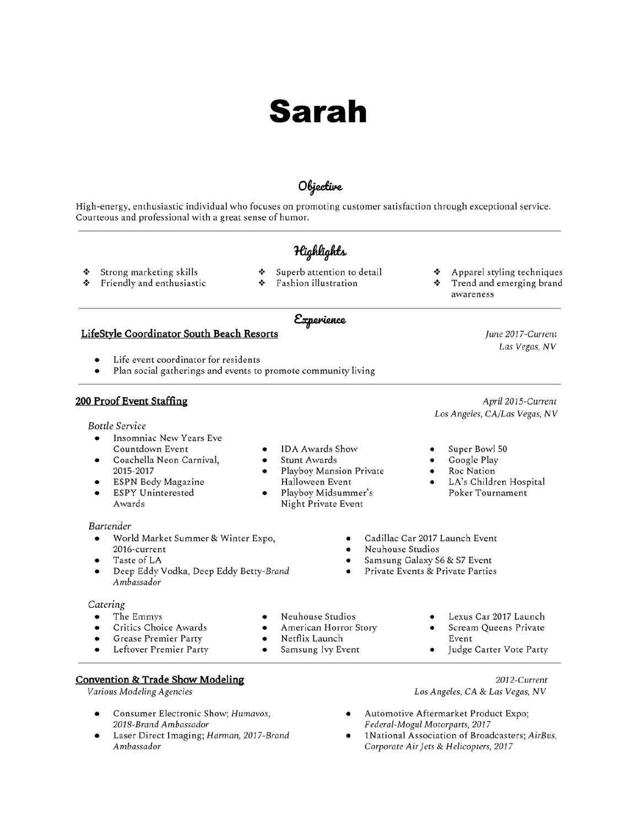# **Sarah**

### Objective

High-energy, enthusiastic individual who focuses on promoting customer satisfaction through exceptional service. Courteous and professional with a great sense of humor.

### Highlights

- ٠ Strong marketing skills
- Superb attention to detail ٠

**IDA Awards Show** 

Halloween Event

Playboy Mansion Private

Playboy Midsummer's

Night Private Event

Stunt Awards

- ٠ Friendly and enthusiastic
- Fashion illustration ٠
- Experience

### LifeStyle Coordinator South Beach Resorts

- Life event coordinator for residents
- Plan social gatherings and events to promote community living

### 200 Proof Event Staffing

**Bottle Service** 

- Insomniac New Years Eve Countdown Event
- Coachella Neon Carnival, 2015-2017
- ESPN Body Magazine
- **ESPY Uninterested** Awards

### Bartender

- World Market Summer & Winter Expo, 2016-current
- Taste of LA
- Deep Eddy Vodka, Deep Eddy Betty-Brand Ambassador

### Catering

- The Emmys
- Critics Choice Awards  $\bullet$
- Grease Premier Party  $\bullet$
- Leftover Premier Party  $\bullet$
- - -

## April 2015-Current

Apparel styling techniques

Trend and emerging brand

June 2017-Current Las Vegas, NV

awareness

Los Angeles, CA/Las Vegas, NV

Super Bowl 50

٠

- Google Play
- Roc Nation
- LA's Children Hospital Poker Tournament
- Cadillac Car 2017 Launch Event
- Neuhouse Studios
- Samsung Galaxy S6 & S7 Event
- Private Events & Private Parties
	-
	- Event
	-

2012-Current

**Convention & Trade Show Modeling** 

Various Modeling Agencies

- Consumer Electronic Show; Humavox, 2018-Brand Ambassador
- Laser Direct Imaging; Harman, 2017-Brand Ambassador

Los Angeles, CA & Las Vegas, NV

- Automotive Aftermarket Product Expo; Federal-Mogul Motorparts, 2017
- 1National Association of Broadcasters; AirBus, Corporate Air Jets & Helicopters, 2017
- 
- Neuhouse Studios
- American Horror Story
- Netflix Launch  $\bullet$
- Samsung Ivy Event  $\bullet$
- - Lexus Car 2017 Launch Scream Queens Private
	- Judge Carter Vote Party